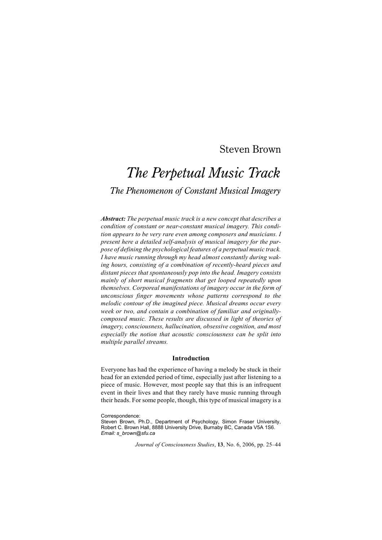# Steven Brown

# *The Perpetual Music Track The Phenomenon of Constant Musical Imagery*

*Abstract: The perpetual music track is a new concept that describes a condition of constant or near-constant musical imagery. This condition appears to be very rare even among composers and musicians. I present here a detailed self-analysis of musical imagery for the purpose of defining the psychological features of a perpetual music track. I have music running through my head almost constantly during waking hours, consisting of a combination of recently-heard pieces and distant pieces that spontaneously pop into the head. Imagery consists mainly of short musical fragments that get looped repeatedly upon themselves. Corporeal manifestations of imagery occur in the form of unconscious finger movements whose patterns correspond to the melodic contour of the imagined piece. Musical dreams occur every week or two, and contain a combination of familiar and originallycomposed music. These results are discussed in light of theories of imagery, consciousness, hallucination, obsessive cognition, and most especially the notion that acoustic consciousness can be split into multiple parallel streams.*

#### **Introduction**

Everyone has had the experience of having a melody be stuck in their head for an extended period of time, especially just after listening to a piece of music. However, most people say that this is an infrequent event in their lives and that they rarely have music running through their heads. For some people, though, this type of musical imagery is a

*Journal of Consciousness Studies*, **13**, No. 6, 2006, pp. 25–44

Correspondence:

Steven Brown, Ph.D., Department of Psychology, Simon Fraser University, Robert C. Brown Hall, 8888 University Drive, Burnaby BC, Canada V5A 1S6. *Email: s\_brown@sfu.ca*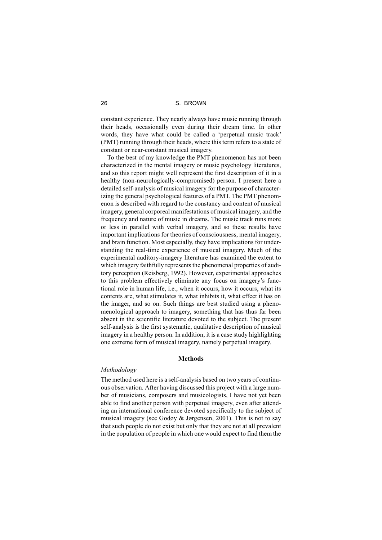constant experience. They nearly always have music running through their heads, occasionally even during their dream time. In other words, they have what could be called a 'perpetual music track' (PMT) running through their heads, where this term refers to a state of constant or near-constant musical imagery.

To the best of my knowledge the PMT phenomenon has not been characterized in the mental imagery or music psychology literatures, and so this report might well represent the first description of it in a healthy (non-neurologically-compromised) person. I present here a detailed self-analysis of musical imagery for the purpose of characterizing the general psychological features of a PMT. The PMT phenomenon is described with regard to the constancy and content of musical imagery, general corporeal manifestations of musical imagery, and the frequency and nature of music in dreams. The music track runs more or less in parallel with verbal imagery, and so these results have important implications for theories of consciousness, mental imagery, and brain function. Most especially, they have implications for understanding the real-time experience of musical imagery. Much of the experimental auditory-imagery literature has examined the extent to which imagery faithfully represents the phenomenal properties of auditory perception (Reisberg, 1992). However, experimental approaches to this problem effectively eliminate any focus on imagery's functional role in human life, i.e., when it occurs, how it occurs, what its contents are, what stimulates it, what inhibits it, what effect it has on the imager, and so on. Such things are best studied using a phenomenological approach to imagery, something that has thus far been absent in the scientific literature devoted to the subject. The present self-analysis is the first systematic, qualitative description of musical imagery in a healthy person. In addition, it is a case study highlighting one extreme form of musical imagery, namely perpetual imagery.

## **Methods**

#### *Methodology*

The method used here is a self-analysis based on two years of continuous observation. After having discussed this project with a large number of musicians, composers and musicologists, I have not yet been able to find another person with perpetual imagery, even after attending an international conference devoted specifically to the subject of musical imagery (see Godøy & Jørgensen, 2001). This is not to say that such people do not exist but only that they are not at all prevalent in the population of people in which one would expect to find them the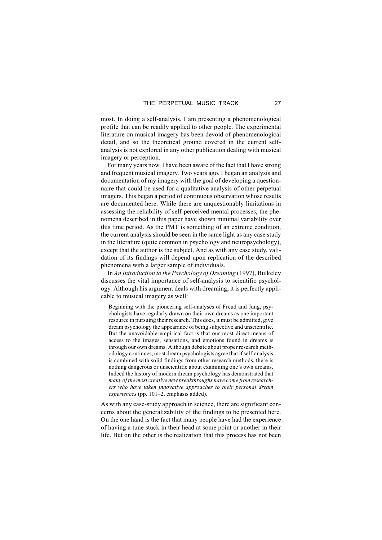most. In doing a self-analysis, I am presenting a phenomenological profile that can be readily applied to other people. The experimental literature on musical imagery has been devoid of phenomenological detail, and so the theoretical ground covered in the current selfanalysis is not explored in any other publication dealing with musical imagery or perception.

For many years now, I have been aware of the fact that I have strong and frequent musical imagery. Two years ago, I began an analysis and documentation of my imagery with the goal of developing a questionnaire that could be used for a qualitative analysis of other perpetual imagers. This began a period of continuous observation whose results are documented here. While there are unquestionably limitations in assessing the reliability of self-perceived mental processes, the phenomena described in this paper have shown minimal variability over this time period. As the PMT is something of an extreme condition, the current analysis should be seen in the same light as any case study in the literature (quite common in psychology and neuropsychology), except that the author is the subject. And as with any case study, validation of its findings will depend upon replication of the described phenomena with a larger sample of individuals.

In *An Introduction to the Psychology of Dreaming* (1997), Bulkeley discusses the vital importance of self-analysis to scientific psychology. Although his argument deals with dreaming, it is perfectly applicable to musical imagery as well:

Beginning with the pioneering self-analyses of Freud and Jung, psychologists have regularly drawn on their own dreams as one important resource in pursuing their research. This does, it must be admitted, give dream psychology the appearance of being subjective and unscientific. But the unavoidable empirical fact is that our most direct means of access to the images, sensations, and emotions found in dreams is through our own dreams. Although debate about proper research methodology continues, most dream psychologists agree that if self-analysis is combined with solid findings from other research methods, there is nothing dangerous or unscientific about examining one's own dreams. Indeed the history of modern dream psychology has demonstrated that *many of the most creative new breakthroughs have come from researchers who have taken innovative approaches to their personal dream experiences* (pp. 101–2, emphasis added).

As with any case-study approach in science, there are significant concerns about the generalizability of the findings to be presented here. On the one hand is the fact that many people have had the experience of having a tune stuck in their head at some point or another in their life. But on the other is the realization that this process has not been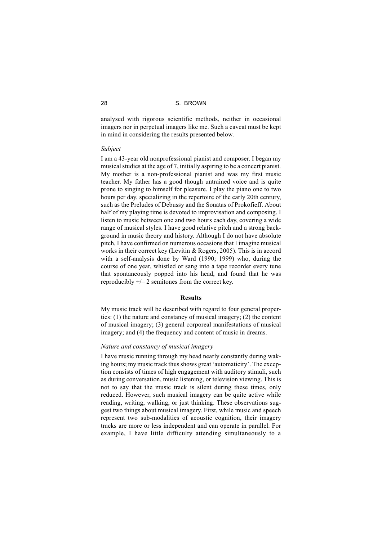analysed with rigorous scientific methods, neither in occasional imagers nor in perpetual imagers like me. Such a caveat must be kept in mind in considering the results presented below.

#### *Subject*

I am a 43-year old nonprofessional pianist and composer. I began my musical studies at the age of 7, initially aspiring to be a concert pianist. My mother is a non-professional pianist and was my first music teacher. My father has a good though untrained voice and is quite prone to singing to himself for pleasure. I play the piano one to two hours per day, specializing in the repertoire of the early 20th century, such as the Preludes of Debussy and the Sonatas of Prokofieff. About half of my playing time is devoted to improvisation and composing. I listen to music between one and two hours each day, covering a wide range of musical styles. I have good relative pitch and a strong background in music theory and history. Although I do not have absolute pitch, I have confirmed on numerous occasions that I imagine musical works in their correct key (Levitin & Rogers, 2005). This is in accord with a self-analysis done by Ward (1990; 1999) who, during the course of one year, whistled or sang into a tape recorder every tune that spontaneously popped into his head, and found that he was reproducibly  $+/- 2$  semitones from the correct key.

#### **Results**

My music track will be described with regard to four general properties: (1) the nature and constancy of musical imagery; (2) the content of musical imagery; (3) general corporeal manifestations of musical imagery; and (4) the frequency and content of music in dreams.

#### *Nature and constancy of musical imagery*

I have music running through my head nearly constantly during waking hours; my music track thus shows great 'automaticity'. The exception consists of times of high engagement with auditory stimuli, such as during conversation, music listening, or television viewing. This is not to say that the music track is silent during these times, only reduced. However, such musical imagery can be quite active while reading, writing, walking, or just thinking. These observations suggest two things about musical imagery. First, while music and speech represent two sub-modalities of acoustic cognition, their imagery tracks are more or less independent and can operate in parallel. For example, I have little difficulty attending simultaneously to a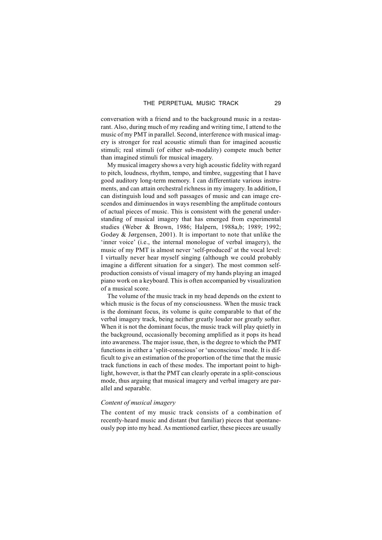conversation with a friend and to the background music in a restaurant. Also, during much of my reading and writing time, I attend to the music of my PMT in parallel. Second, interference with musical imagery is stronger for real acoustic stimuli than for imagined acoustic stimuli; real stimuli (of either sub-modality) compete much better than imagined stimuli for musical imagery.

My musical imagery shows a very high acoustic fidelity with regard to pitch, loudness, rhythm, tempo, and timbre, suggesting that I have good auditory long-term memory. I can differentiate various instruments, and can attain orchestral richness in my imagery. In addition, I can distinguish loud and soft passages of music and can image crescendos and diminuendos in ways resembling the amplitude contours of actual pieces of music. This is consistent with the general understanding of musical imagery that has emerged from experimental studies (Weber & Brown, 1986; Halpern, 1988a,b; 1989; 1992; Godøy & Jørgensen, 2001). It is important to note that unlike the 'inner voice' (i.e., the internal monologue of verbal imagery), the music of my PMT is almost never 'self-produced' at the vocal level: I virtually never hear myself singing (although we could probably imagine a different situation for a singer). The most common selfproduction consists of visual imagery of my hands playing an imaged piano work on a keyboard. This is often accompanied by visualization of a musical score.

The volume of the music track in my head depends on the extent to which music is the focus of my consciousness. When the music track is the dominant focus, its volume is quite comparable to that of the verbal imagery track, being neither greatly louder nor greatly softer. When it is not the dominant focus, the music track will play quietly in the background, occasionally becoming amplified as it pops its head into awareness. The major issue, then, is the degree to which the PMT functions in either a 'split-conscious' or 'unconscious' mode. It is difficult to give an estimation of the proportion of the time that the music track functions in each of these modes. The important point to highlight, however, is that the PMT can clearly operate in a split-conscious mode, thus arguing that musical imagery and verbal imagery are parallel and separable.

#### *Content of musical imagery*

The content of my music track consists of a combination of recently-heard music and distant (but familiar) pieces that spontaneously pop into my head. As mentioned earlier, these pieces are usually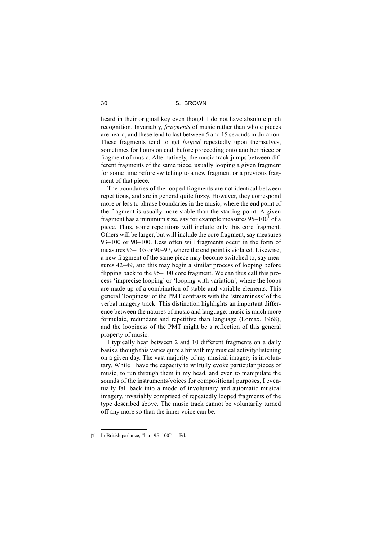heard in their original key even though I do not have absolute pitch recognition. Invariably, *fragments* of music rather than whole pieces are heard, and these tend to last between 5 and 15 seconds in duration. These fragments tend to get *looped* repeatedly upon themselves, sometimes for hours on end, before proceeding onto another piece or fragment of music. Alternatively, the music track jumps between different fragments of the same piece, usually looping a given fragment for some time before switching to a new fragment or a previous fragment of that piece.

The boundaries of the looped fragments are not identical between repetitions, and are in general quite fuzzy. However, they correspond more or less to phrase boundaries in the music, where the end point of the fragment is usually more stable than the starting point. A given fragment has a minimum size, say for example measures  $95-100<sup>1</sup>$  of a piece. Thus, some repetitions will include only this core fragment. Others will be larger, but will include the core fragment, say measures 93–100 or 90–100. Less often will fragments occur in the form of measures 95–105 or 90–97, where the end point is violated. Likewise, a new fragment of the same piece may become switched to, say measures 42–49, and this may begin a similar process of looping before flipping back to the 95–100 core fragment. We can thus call this process 'imprecise looping' or 'looping with variation', where the loops are made up of a combination of stable and variable elements. This general 'loopiness' of the PMT contrasts with the 'streaminess' of the verbal imagery track. This distinction highlights an important difference between the natures of music and language: music is much more formulaic, redundant and repetitive than language (Lomax, 1968), and the loopiness of the PMT might be a reflection of this general property of music.

I typically hear between 2 and 10 different fragments on a daily basis although this varies quite a bit with my musical activity/listening on a given day. The vast majority of my musical imagery is involuntary. While I have the capacity to wilfully evoke particular pieces of music, to run through them in my head, and even to manipulate the sounds of the instruments/voices for compositional purposes, I eventually fall back into a mode of involuntary and automatic musical imagery, invariably comprised of repeatedly looped fragments of the type described above. The music track cannot be voluntarily turned off any more so than the inner voice can be.

<sup>[1]</sup> In British parlance, "bars 95–100" — Ed.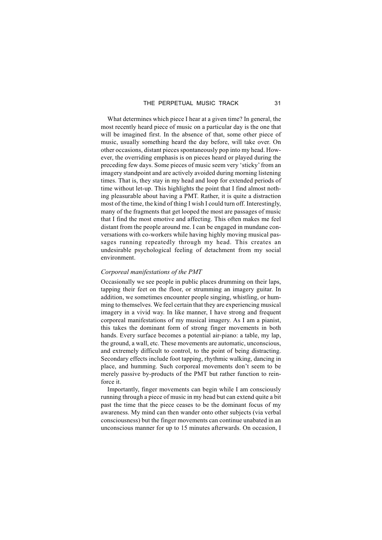What determines which piece I hear at a given time? In general, the most recently heard piece of music on a particular day is the one that will be imagined first. In the absence of that, some other piece of music, usually something heard the day before, will take over. On other occasions, distant pieces spontaneously pop into my head. However, the overriding emphasis is on pieces heard or played during the preceding few days. Some pieces of music seem very 'sticky' from an imagery standpoint and are actively avoided during morning listening times. That is, they stay in my head and loop for extended periods of time without let-up. This highlights the point that I find almost nothing pleasurable about having a PMT. Rather, it is quite a distraction most of the time, the kind of thing I wish I could turn off. Interestingly, many of the fragments that get looped the most are passages of music that I find the most emotive and affecting. This often makes me feel distant from the people around me. I can be engaged in mundane conversations with co-workers while having highly moving musical passages running repeatedly through my head. This creates an undesirable psychological feeling of detachment from my social environment.

# *Corporeal manifestations of the PMT*

Occasionally we see people in public places drumming on their laps, tapping their feet on the floor, or strumming an imagery guitar. In addition, we sometimes encounter people singing, whistling, or humming to themselves. We feel certain that they are experiencing musical imagery in a vivid way. In like manner, I have strong and frequent corporeal manifestations of my musical imagery. As I am a pianist, this takes the dominant form of strong finger movements in both hands. Every surface becomes a potential air-piano: a table, my lap, the ground, a wall, etc. These movements are automatic, unconscious, and extremely difficult to control, to the point of being distracting. Secondary effects include foot tapping, rhythmic walking, dancing in place, and humming. Such corporeal movements don't seem to be merely passive by-products of the PMT but rather function to reinforce it.

Importantly, finger movements can begin while I am consciously running through a piece of music in my head but can extend quite a bit past the time that the piece ceases to be the dominant focus of my awareness. My mind can then wander onto other subjects (via verbal consciousness) but the finger movements can continue unabated in an unconscious manner for up to 15 minutes afterwards. On occasion, I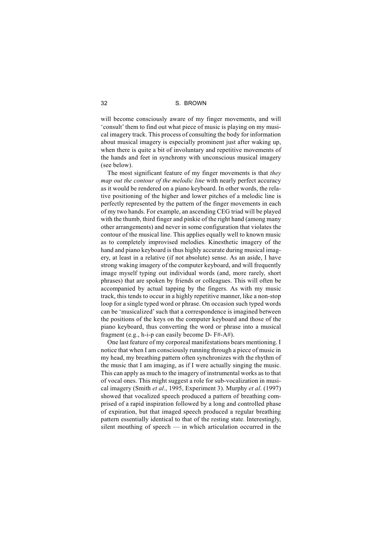will become consciously aware of my finger movements, and will 'consult' them to find out what piece of music is playing on my musical imagery track. This process of consulting the body for information about musical imagery is especially prominent just after waking up, when there is quite a bit of involuntary and repetitive movements of the hands and feet in synchrony with unconscious musical imagery (see below).

The most significant feature of my finger movements is that *they map out the contour of the melodic line* with nearly perfect accuracy as it would be rendered on a piano keyboard. In other words, the relative positioning of the higher and lower pitches of a melodic line is perfectly represented by the pattern of the finger movements in each of my two hands. For example, an ascending CEG triad will be played with the thumb, third finger and pinkie of the right hand (among many other arrangements) and never in some configuration that violates the contour of the musical line. This applies equally well to known music as to completely improvised melodies. Kinesthetic imagery of the hand and piano keyboard is thus highly accurate during musical imagery, at least in a relative (if not absolute) sense. As an aside, I have strong waking imagery of the computer keyboard, and will frequently image myself typing out individual words (and, more rarely, short phrases) that are spoken by friends or colleagues. This will often be accompanied by actual tapping by the fingers. As with my music track, this tends to occur in a highly repetitive manner, like a non-stop loop for a single typed word or phrase. On occasion such typed words can be 'musicalized' such that a correspondence is imagined between the positions of the keys on the computer keyboard and those of the piano keyboard, thus converting the word or phrase into a musical fragment (e.g., h-i-p can easily become D- F#-A#).

One last feature of my corporeal manifestations bears mentioning. I notice that when I am consciously running through a piece of music in my head, my breathing pattern often synchronizes with the rhythm of the music that I am imaging, as if I were actually singing the music. This can apply as much to the imagery of instrumental works as to that of vocal ones. This might suggest a role for sub-vocalization in musical imagery (Smith *et al*., 1995, Experiment 3). Murphy *et al*. (1997) showed that vocalized speech produced a pattern of breathing comprised of a rapid inspiration followed by a long and controlled phase of expiration, but that imaged speech produced a regular breathing pattern essentially identical to that of the resting state. Interestingly, silent mouthing of speech — in which articulation occurred in the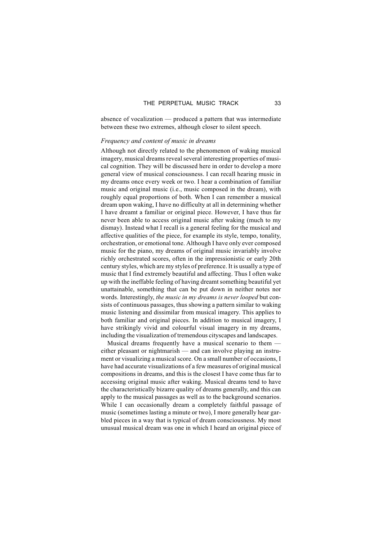absence of vocalization — produced a pattern that was intermediate between these two extremes, although closer to silent speech.

#### *Frequency and content of music in dreams*

Although not directly related to the phenomenon of waking musical imagery, musical dreams reveal several interesting properties of musical cognition. They will be discussed here in order to develop a more general view of musical consciousness. I can recall hearing music in my dreams once every week or two. I hear a combination of familiar music and original music (i.e., music composed in the dream), with roughly equal proportions of both. When I can remember a musical dream upon waking, I have no difficulty at all in determining whether I have dreamt a familiar or original piece. However, I have thus far never been able to access original music after waking (much to my dismay). Instead what I recall is a general feeling for the musical and affective qualities of the piece, for example its style, tempo, tonality, orchestration, or emotional tone. Although I have only ever composed music for the piano, my dreams of original music invariably involve richly orchestrated scores, often in the impressionistic or early 20th century styles, which are my styles of preference. It is usually a type of music that I find extremely beautiful and affecting. Thus I often wake up with the ineffable feeling of having dreamt something beautiful yet unattainable, something that can be put down in neither notes nor words. Interestingly, *the music in my dreams is never looped* but consists of continuous passages, thus showing a pattern similar to waking music listening and dissimilar from musical imagery. This applies to both familiar and original pieces. In addition to musical imagery, I have strikingly vivid and colourful visual imagery in my dreams, including the visualization of tremendous cityscapes and landscapes.

Musical dreams frequently have a musical scenario to them either pleasant or nightmarish — and can involve playing an instrument or visualizing a musical score. On a small number of occasions, I have had accurate visualizations of a few measures of original musical compositions in dreams, and this is the closest I have come thus far to accessing original music after waking. Musical dreams tend to have the characteristically bizarre quality of dreams generally, and this can apply to the musical passages as well as to the background scenarios. While I can occasionally dream a completely faithful passage of music (sometimes lasting a minute or two), I more generally hear garbled pieces in a way that is typical of dream consciousness. My most unusual musical dream was one in which I heard an original piece of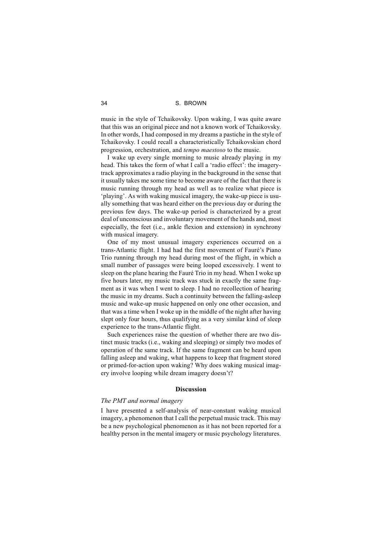music in the style of Tchaikovsky. Upon waking, I was quite aware that this was an original piece and not a known work of Tchaikovsky. In other words, I had composed in my dreams a pastiche in the style of Tchaikovsky. I could recall a characteristically Tchaikovskian chord progression, orchestration, and *tempo maestoso* to the music.

I wake up every single morning to music already playing in my head. This takes the form of what I call a 'radio effect': the imagerytrack approximates a radio playing in the background in the sense that it usually takes me some time to become aware of the fact that there is music running through my head as well as to realize what piece is 'playing'. As with waking musical imagery, the wake-up piece is usually something that was heard either on the previous day or during the previous few days. The wake-up period is characterized by a great deal of unconscious and involuntary movement of the hands and, most especially, the feet (i.e., ankle flexion and extension) in synchrony with musical imagery.

One of my most unusual imagery experiences occurred on a trans-Atlantic flight. I had had the first movement of Fauré's Piano Trio running through my head during most of the flight, in which a small number of passages were being looped excessively. I went to sleep on the plane hearing the Fauré Trio in my head. When I woke up five hours later, my music track was stuck in exactly the same fragment as it was when I went to sleep. I had no recollection of hearing the music in my dreams. Such a continuity between the falling-asleep music and wake-up music happened on only one other occasion, and that was a time when I woke up in the middle of the night after having slept only four hours, thus qualifying as a very similar kind of sleep experience to the trans-Atlantic flight.

Such experiences raise the question of whether there are two distinct music tracks (i.e., waking and sleeping) or simply two modes of operation of the same track. If the same fragment can be heard upon falling asleep and waking, what happens to keep that fragment stored or primed-for-action upon waking? Why does waking musical imagery involve looping while dream imagery doesn't?

# **Discussion**

#### *The PMT and normal imagery*

I have presented a self-analysis of near-constant waking musical imagery, a phenomenon that I call the perpetual music track. This may be a new psychological phenomenon as it has not been reported for a healthy person in the mental imagery or music psychology literatures.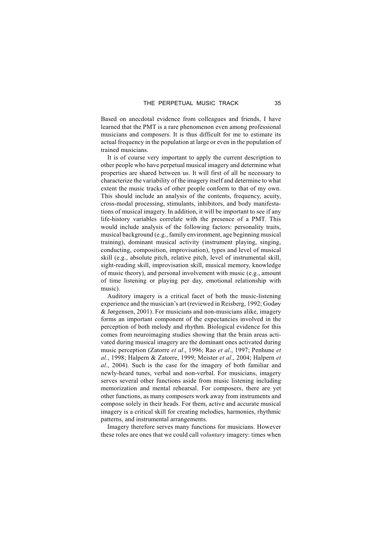Based on anecdotal evidence from colleagues and friends, I have learned that the PMT is a rare phenomenon even among professional musicians and composers. It is thus difficult for me to estimate its actual frequency in the population at large or even in the population of trained musicians.

It is of course very important to apply the current description to other people who have perpetual musical imagery and determine what properties are shared between us. It will first of all be necessary to characterize the variability of the imagery itself and determine to what extent the music tracks of other people conform to that of my own. This should include an analysis of the contents, frequency, acuity, cross-modal processing, stimulants, inhibitors, and body manifestations of musical imagery. In addition, it will be important to see if any life-history variables correlate with the presence of a PMT. This would include analysis of the following factors: personality traits, musical background (e.g., family environment, age beginning musical training), dominant musical activity (instrument playing, singing, conducting, composition, improvisation), types and level of musical skill (e.g., absolute pitch, relative pitch, level of instrumental skill, sight-reading skill, improvisation skill, musical memory, knowledge of music theory), and personal involvement with music (e.g., amount of time listening or playing per day, emotional relationship with music).

Auditory imagery is a critical facet of both the music-listening experience and the musician's art (reviewed in Reisberg, 1992; Godøy & Jørgensen, 2001). For musicians and non-musicians alike, imagery forms an important component of the expectancies involved in the perception of both melody and rhythm. Biological evidence for this comes from neuroimaging studies showing that the brain areas activated during musical imagery are the dominant ones activated during music perception (Zatorre *et al*., 1996; Rao *et al*., 1997; Penhune *et al*., 1998; Halpern & Zatorre, 1999; Meister *et al*., 2004; Halpern *et al*., 2004). Such is the case for the imagery of both familiar and newly-heard tunes, verbal and non-verbal. For musicians, imagery serves several other functions aside from music listening including memorization and mental rehearsal. For composers, there are yet other functions, as many composers work away from instruments and compose solely in their heads. For them, active and accurate musical imagery is a critical skill for creating melodies, harmonies, rhythmic patterns, and instrumental arrangements.

Imagery therefore serves many functions for musicians. However these roles are ones that we could call *voluntary* imagery: times when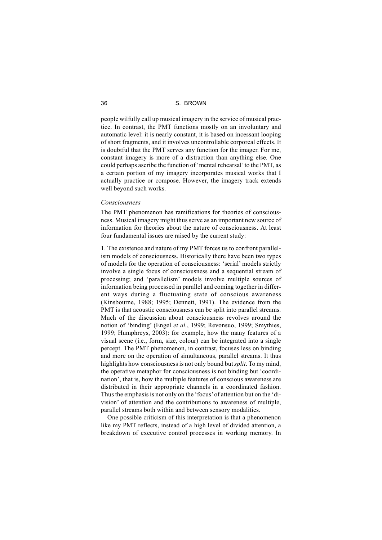people wilfully call up musical imagery in the service of musical practice. In contrast, the PMT functions mostly on an involuntary and automatic level: it is nearly constant, it is based on incessant looping of short fragments, and it involves uncontrollable corporeal effects. It is doubtful that the PMT serves any function for the imager. For me, constant imagery is more of a distraction than anything else. One could perhaps ascribe the function of 'mental rehearsal'to the PMT, as a certain portion of my imagery incorporates musical works that I actually practice or compose. However, the imagery track extends well beyond such works.

#### *Consciousness*

The PMT phenomenon has ramifications for theories of consciousness. Musical imagery might thus serve as an important new source of information for theories about the nature of consciousness. At least four fundamental issues are raised by the current study:

1. The existence and nature of my PMT forces us to confront parallelism models of consciousness. Historically there have been two types of models for the operation of consciousness: 'serial' models strictly involve a single focus of consciousness and a sequential stream of processing; and 'parallelism' models involve multiple sources of information being processed in parallel and coming together in different ways during a fluctuating state of conscious awareness (Kinsbourne, 1988; 1995; Dennett, 1991). The evidence from the PMT is that acoustic consciousness can be split into parallel streams. Much of the discussion about consciousness revolves around the notion of 'binding' (Engel *et al.*, 1999; Revonsuo, 1999; Smythies, 1999; Humphreys, 2003): for example, how the many features of a visual scene (i.e., form, size, colour) can be integrated into a single percept. The PMT phenomenon, in contrast, focuses less on binding and more on the operation of simultaneous, parallel streams. It thus highlights how consciousness is not only bound but*split*. To my mind, the operative metaphor for consciousness is not binding but 'coordination', that is, how the multiple features of conscious awareness are distributed in their appropriate channels in a coordinated fashion. Thus the emphasis is not only on the 'focus'of attention but on the 'division' of attention and the contributions to awareness of multiple, parallel streams both within and between sensory modalities.

One possible criticism of this interpretation is that a phenomenon like my PMT reflects, instead of a high level of divided attention, a breakdown of executive control processes in working memory. In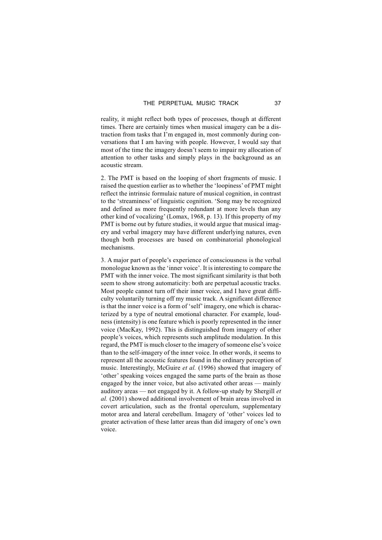reality, it might reflect both types of processes, though at different times. There are certainly times when musical imagery can be a distraction from tasks that I'm engaged in, most commonly during conversations that I am having with people. However, I would say that most of the time the imagery doesn't seem to impair my allocation of attention to other tasks and simply plays in the background as an acoustic stream.

2. The PMT is based on the looping of short fragments of music. I raised the question earlier as to whether the 'loopiness' of PMT might reflect the intrinsic formulaic nature of musical cognition, in contrast to the 'streaminess' of linguistic cognition. 'Song may be recognized and defined as more frequently redundant at more levels than any other kind of vocalizing' (Lomax, 1968, p. 13). If this property of my PMT is borne out by future studies, it would argue that musical imagery and verbal imagery may have different underlying natures, even though both processes are based on combinatorial phonological mechanisms.

3. A major part of people's experience of consciousness is the verbal monologue known as the 'inner voice'. It is interesting to compare the PMT with the inner voice. The most significant similarity is that both seem to show strong automaticity: both are perpetual acoustic tracks. Most people cannot turn off their inner voice, and I have great difficulty voluntarily turning off my music track. A significant difference is that the inner voice is a form of 'self' imagery, one which is characterized by a type of neutral emotional character. For example, loudness (intensity) is one feature which is poorly represented in the inner voice (MacKay, 1992). This is distinguished from imagery of other people's voices, which represents such amplitude modulation. In this regard, the PMT is much closer to the imagery of someone else's voice than to the self-imagery of the inner voice. In other words, it seems to represent all the acoustic features found in the ordinary perception of music. Interestingly, McGuire *et al.* (1996) showed that imagery of 'other' speaking voices engaged the same parts of the brain as those engaged by the inner voice, but also activated other areas — mainly auditory areas — not engaged by it. A follow-up study by Shergill *et al.* (2001) showed additional involvement of brain areas involved in covert articulation, such as the frontal operculum, supplementary motor area and lateral cerebellum. Imagery of 'other' voices led to greater activation of these latter areas than did imagery of one's own voice.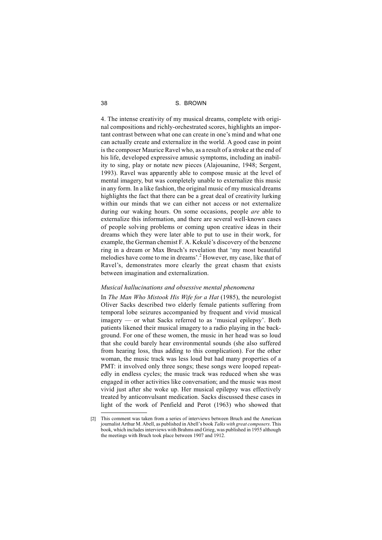4. The intense creativity of my musical dreams, complete with original compositions and richly-orchestrated scores, highlights an important contrast between what one can create in one's mind and what one can actually create and externalize in the world. A good case in point is the composer Maurice Ravel who, as a result of a stroke at the end of his life, developed expressive amusic symptoms, including an inability to sing, play or notate new pieces (Alajouanine, 1948; Sergent, 1993). Ravel was apparently able to compose music at the level of mental imagery, but was completely unable to externalize this music in any form. In a like fashion, the original music of my musical dreams highlights the fact that there can be a great deal of creativity lurking within our minds that we can either not access or not externalize during our waking hours. On some occasions, people *are* able to externalize this information, and there are several well-known cases of people solving problems or coming upon creative ideas in their dreams which they were later able to put to use in their work, for example, the German chemist F. A. Kekulé's discovery of the benzene ring in a dream or Max Bruch's revelation that 'my most beautiful melodies have come to me in dreams'.<sup>2</sup> However, my case, like that of Ravel's, demonstrates more clearly the great chasm that exists between imagination and externalization.

# *Musical hallucinations and obsessive mental phenomena*

In *The Man Who Mistook His Wife for a Hat* (1985), the neurologist Oliver Sacks described two elderly female patients suffering from temporal lobe seizures accompanied by frequent and vivid musical imagery — or what Sacks referred to as 'musical epilepsy'. Both patients likened their musical imagery to a radio playing in the background. For one of these women, the music in her head was so loud that she could barely hear environmental sounds (she also suffered from hearing loss, thus adding to this complication). For the other woman, the music track was less loud but had many properties of a PMT: it involved only three songs; these songs were looped repeatedly in endless cycles; the music track was reduced when she was engaged in other activities like conversation; and the music was most vivid just after she woke up. Her musical epilepsy was effectively treated by anticonvulsant medication. Sacks discussed these cases in light of the work of Penfield and Perot (1963) who showed that

<sup>[2]</sup> This comment was taken from a series of interviews between Bruch and the American journalist Arthur M. Abell, as published in Abell's book *Talks with great composers*. This book, which includes interviews with Brahms and Grieg, was published in 1955 although the meetings with Bruch took place between 1907 and 1912.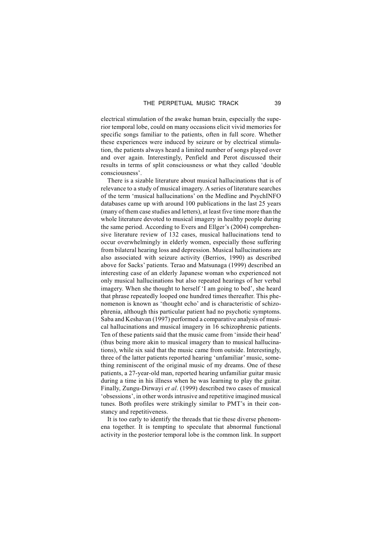electrical stimulation of the awake human brain, especially the superior temporal lobe, could on many occasions elicit vivid memories for specific songs familiar to the patients, often in full score. Whether these experiences were induced by seizure or by electrical stimulation, the patients always heard a limited number of songs played over and over again. Interestingly, Penfield and Perot discussed their results in terms of split consciousness or what they called 'double consciousness'.

There is a sizable literature about musical hallucinations that is of relevance to a study of musical imagery. A series of literature searches of the term 'musical hallucinations' on the Medline and PsychINFO databases came up with around 100 publications in the last 25 years (many of them case studies and letters), at least five time more than the whole literature devoted to musical imagery in healthy people during the same period. According to Evers and Ellger's (2004) comprehensive literature review of 132 cases, musical hallucinations tend to occur overwhelmingly in elderly women, especially those suffering from bilateral hearing loss and depression. Musical hallucinations are also associated with seizure activity (Berrios, 1990) as described above for Sacks' patients. Terao and Matsunaga (1999) described an interesting case of an elderly Japanese woman who experienced not only musical hallucinations but also repeated hearings of her verbal imagery. When she thought to herself 'I am going to bed', she heard that phrase repeatedly looped one hundred times thereafter. This phenomenon is known as 'thought echo' and is characteristic of schizophrenia, although this particular patient had no psychotic symptoms. Saba and Keshavan (1997) performed a comparative analysis of musical hallucinations and musical imagery in 16 schizophrenic patients. Ten of these patients said that the music came from 'inside their head' (thus being more akin to musical imagery than to musical hallucinations), while six said that the music came from outside. Interestingly, three of the latter patients reported hearing 'unfamiliar' music, something reminiscent of the original music of my dreams. One of these patients, a 27-year-old man, reported hearing unfamiliar guitar music during a time in his illness when he was learning to play the guitar. Finally, Zungu-Dirwayi *et al*. (1999) described two cases of musical 'obsessions', in other words intrusive and repetitive imagined musical tunes. Both profiles were strikingly similar to PMT's in their constancy and repetitiveness.

It is too early to identify the threads that tie these diverse phenomena together. It is tempting to speculate that abnormal functional activity in the posterior temporal lobe is the common link. In support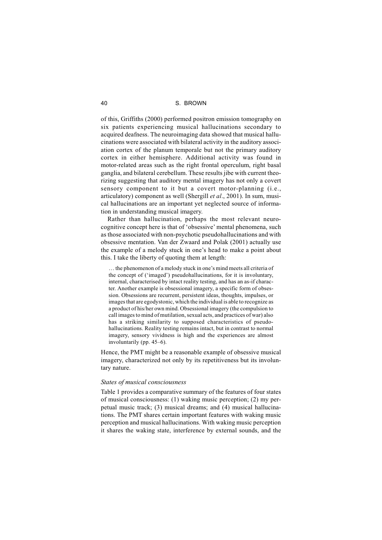of this, Griffiths (2000) performed positron emission tomography on six patients experiencing musical hallucinations secondary to acquired deafness. The neuroimaging data showed that musical hallucinations were associated with bilateral activity in the auditory association cortex of the planum temporale but not the primary auditory cortex in either hemisphere. Additional activity was found in motor-related areas such as the right frontal operculum, right basal ganglia, and bilateral cerebellum. These results jibe with current theorizing suggesting that auditory mental imagery has not only a covert sensory component to it but a covert motor-planning (i.e., articulatory) component as well (Shergill *et al*., 2001). In sum, musical hallucinations are an important yet neglected source of information in understanding musical imagery.

Rather than hallucination, perhaps the most relevant neurocognitive concept here is that of 'obsessive' mental phenomena, such as those associated with non-psychotic pseudohallucinations and with obsessive mentation. Van der Zwaard and Polak (2001) actually use the example of a melody stuck in one's head to make a point about this. I take the liberty of quoting them at length:

… the phenomenon of a melody stuck in one's mind meets all criteria of the concept of ('imaged') pseudohallucinations, for it is involuntary, internal, characterised by intact reality testing, and has an as-if character. Another example is obsessional imagery, a specific form of obsession. Obsessions are recurrent, persistent ideas, thoughts, impulses, or images that are egodystonic, which the individual is able to recognize as a product of his/her own mind. Obsessional imagery (the compulsion to call images to mind of mutilation, sexual acts, and practices of war) also has a striking similarity to supposed characteristics of pseudohallucinations. Reality testing remains intact, but in contrast to normal imagery, sensory vividness is high and the experiences are almost involuntarily (pp. 45–6).

Hence, the PMT might be a reasonable example of obsessive musical imagery, characterized not only by its repetitiveness but its involuntary nature.

#### *States of musical consciousness*

Table 1 provides a comparative summary of the features of four states of musical consciousness: (1) waking music perception; (2) my perpetual music track; (3) musical dreams; and (4) musical hallucinations. The PMT shares certain important features with waking music perception and musical hallucinations. With waking music perception it shares the waking state, interference by external sounds, and the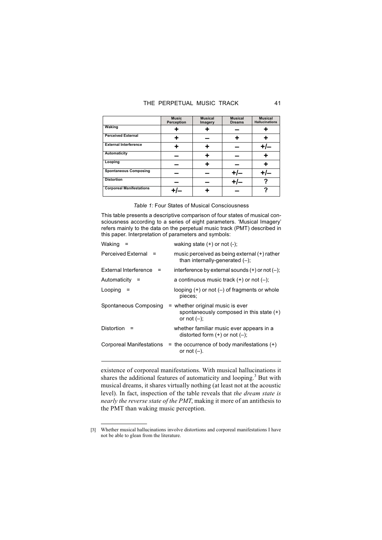# THE PERPETUAL MUSIC TRACK 41

|                                 | <b>Music</b><br>Perception | <b>Musical</b><br>Imagery | <b>Musical</b><br><b>Dreams</b> | <b>Musical</b><br><b>Hallucinations</b> |
|---------------------------------|----------------------------|---------------------------|---------------------------------|-----------------------------------------|
| Waking                          |                            |                           |                                 |                                         |
| <b>Perceived External</b>       |                            |                           |                                 |                                         |
| <b>External Interference</b>    |                            |                           |                                 |                                         |
| Automaticity                    |                            |                           |                                 |                                         |
| Looping                         |                            |                           |                                 |                                         |
| <b>Spontaneous Composing</b>    |                            |                           |                                 |                                         |
| <b>Distortion</b>               |                            |                           |                                 |                                         |
| <b>Corporeal Manifestations</b> |                            |                           |                                 |                                         |

*Table 1:* Four States of Musical Consciousness

This table presents a descriptive comparison of four states of musical consciousness according to a series of eight parameters. 'Musical Imagery' refers mainly to the data on the perpetual music track (PMT) described in this paper. Interpretation of parameters and symbols:

| Waking                    | waking state $(+)$ or not $(-)$ ;                                                                |
|---------------------------|--------------------------------------------------------------------------------------------------|
| <b>Perceived External</b> | music perceived as being external $(+)$ rather<br>than internally-generated $(-)$ ;              |
| External Interference     | interference by external sounds $(+)$ or not $(-)$ ;                                             |
| Automaticity              | a continuous music track $(+)$ or not $(-)$ ;                                                    |
| Looping                   | looping $(+)$ or not $(-)$ of fragments or whole<br>pieces;                                      |
| Spontaneous Composing     | = whether original music is ever<br>spontaneously composed in this state $(+)$<br>or not $(-)$ : |
| Distortion                | whether familiar music ever appears in a<br>distorted form $(+)$ or not $(-)$ ;                  |
| Corporeal Manifestations  | $=$ the occurrence of body manifestations $(+)$<br>or not $(-)$ .                                |
|                           |                                                                                                  |

existence of corporeal manifestations. With musical hallucinations it shares the additional features of automaticity and looping.<sup>3</sup> But with musical dreams, it shares virtually nothing (at least not at the acoustic level). In fact, inspection of the table reveals that *the dream state is nearly the reverse state of the PMT*, making it more of an antithesis to the PMT than waking music perception.

<sup>[3]</sup> Whether musical hallucinations involve distortions and corporeal manifestations I have not be able to glean from the literature.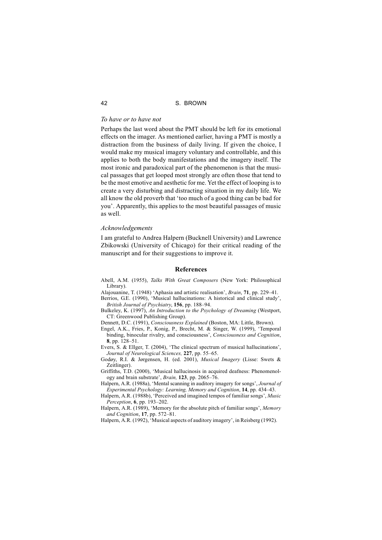# *To have or to have not*

Perhaps the last word about the PMT should be left for its emotional effects on the imager. As mentioned earlier, having a PMT is mostly a distraction from the business of daily living. If given the choice, I would make my musical imagery voluntary and controllable, and this applies to both the body manifestations and the imagery itself. The most ironic and paradoxical part of the phenomenon is that the musical passages that get looped most strongly are often those that tend to be the most emotive and aesthetic for me. Yet the effect of looping is to create a very disturbing and distracting situation in my daily life. We all know the old proverb that 'too much of a good thing can be bad for you'. Apparently, this applies to the most beautiful passages of music as well.

#### *Acknowledgements*

I am grateful to Andrea Halpern (Bucknell University) and Lawrence Zbikowski (University of Chicago) for their critical reading of the manuscript and for their suggestions to improve it.

#### **References**

- Abell, A.M. (1955), *Talks With Great Composers* (New York: Philosophical Library).
- Alajouanine, T. (1948) 'Aphasia and artistic realisation', *Brain*, **71**, pp. 229–41.
- Berrios, G.E. (1990), 'Musical hallucinations: A historical and clinical study', *British Journal of Psychiatry*, **156**, pp. 188–94.
- Bulkeley, K. (1997), *An Introduction to the Psychology of Dreaming* (Westport, CT: Greenwood Publishing Group).
- Dennett, D.C. (1991), *Consciousness Explained* (Boston, MA: Little, Brown).
- Engel, A.K., Fries, P., Konig, P., Brecht, M. & Singer, W. (1999), 'Temporal binding, binocular rivalry, and consciousness', *Consciousness and Cognition*, **8**, pp. 128–51.
- Evers, S. & Ellger, T. (2004), 'The clinical spectrum of musical hallucinations', *Journal of Neurological Sciences,* **227**, pp. 55–65.
- Godøy, R.I. & Jørgensen, H. (ed. 2001), *Musical Imagery* (Lisse: Swets & Zeitlinger).
- Griffiths, T.D. (2000), 'Musical hallucinosis in acquired deafness: Phenomenology and brain substrate', *Brain,* **123**, pp. 2065–76.
- Halpern, A.R. (1988a), 'Mental scanning in auditory imagery for songs', *Journal of Experimental Psychology: Learning, Memory and Cognition*, **14**, pp. 434–43.
- Halpern, A.R. (1988b), 'Perceived and imagined tempos of familiar songs', *Music Perception*, **6**, pp. 193–202.
- Halpern, A.R. (1989), 'Memory for the absolute pitch of familiar songs', *Memory and Cognition*, **17**, pp. 572–81.
- Halpern, A.R. (1992), 'Musical aspects of auditory imagery', in Reisberg (1992).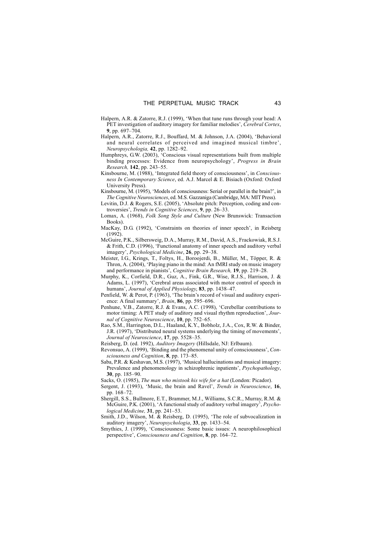- Halpern, A.R. & Zatorre, R.J. (1999), 'When that tune runs through your head: A PET investigation of auditory imagery for familiar melodies', *Cerebral Cortex*, **9**, pp. 697–704.
- Halpern, A.R., Zatorre, R.J., Bouffard, M. & Johnson, J.A. (2004), 'Behavioral and neural correlates of perceived and imagined musical timbre', *Neuropsychologia,* **42**, pp. 1282–92.
- Humphreys, G.W. (2003), 'Conscious visual representations built from multiple binding processes: Evidence from neuropsychology', *Progress in Brain Research,* **142**, pp. 243–55.
- Kinsbourne, M. (1988), 'Integrated field theory of consciousness', in *Consciousness In Contemporary Science*, ed. A.J. Marcel & E. Bisiach (Oxford: Oxford University Press).
- Kinsbourne, M. (1995), 'Models of consciousness: Serial or parallel in the brain?', in *The Cognitive Neurosciences*, ed. M.S. Gazzaniga (Cambridge, MA: MIT Press).
- Levitin, D.J. & Rogers, S.E. (2005), 'Absolute pitch: Perception, coding and controversies', *Trends in Cognitive Sciences*, **9**, pp. 26–33.
- Lomax, A. (1968), *Folk Song Style and Culture* (New Brunswick: Transaction Books).
- MacKay, D.G. (1992), 'Constraints on theories of inner speech', in Reisberg (1992).
- McGuire, P.K., Silbersweig, D.A., Murray, R.M., David, A.S., Frackowiak, R.S.J. & Frith, C.D. (1996), 'Functional anatomy of inner speech and auditory verbal imagery', *Psychological Medicine*, **26**, pp. 29–38.
- Meister, I.G., Krings, T., Foltys, H., Boroojerdi, B., Müller, M., Töpper, R. & Thron, A. (2004), 'Playing piano in the mind: An fMRI study on music imagery and performance in pianists', *Cognitive Brain Research,* **19**, pp. 219–28.
- Murphy, K., Corfield, D.R., Guz, A., Fink, G.R., Wise, R.J.S., Harrison, J. & Adams, L. (1997), 'Cerebral areas associated with motor control of speech in humans', *Journal of Applied Physiology*, **83**, pp. 1438–47.
- Penfield, W. & Perot, P. (1963), 'The brain's record of visual and auditory experience: A final summary', *Brain*, **86**, pp. 595–696.
- Penhune, V.B., Zatorre, R.J. & Evans, A.C. (1998), 'Cerebellar contributions to motor timing: A PET study of auditory and visual rhythm reproduction', *Journal of Cognitive Neuroscience*, **10**, pp. 752–65.
- Rao, S.M., Harrington, D.L., Haaland, K.Y., Bobholz, J.A., Cox, R.W. & Binder, J.R. (1997), 'Distributed neural systems underlying the timing of movements', *Journal of Neuroscience*, **17**, pp. 5528–35.
- Reisberg, D. (ed. 1992), *Auditory Imagery* (Hillsdale, NJ: Erlbaum).
- Revonsuo, A. (1999), 'Binding and the phenomenal unity of consciousness', *Consciousness and Cognition*, **8**, pp. 173–85.
- Saba, P.R. & Keshavan, M.S. (1997), 'Musical hallucinations and musical imagery: Prevalence and phenomenology in schizophrenic inpatients', *Psychopathology*, **30**, pp. 185–90.
- Sacks, O. (1985), *The man who mistook his wife for a hat* (London: Picador).
- Sergent, J. (1993), 'Music, the brain and Ravel', *Trends in Neuroscience*, **16**, pp. 168–72.
- Shergill, S.S., Bullmore, E.T., Brammer, M.J., Williams, S.C.R., Murray, R.M. & McGuire, P.K. (2001), 'A functional study of auditory verbal imagery', *Psychological Medicine,* **31**, pp. 241–53.
- Smith, J.D., Wilson, M. & Reisberg, D. (1995), 'The role of subvocalization in auditory imagery', *Neuropsychologia*, **33**, pp. 1433–54.
- Smythies, J. (1999), 'Consciousness: Some basic issues: A neurophilosophical perspective', *Consciousness and Cognition*, **8**, pp. 164–72.